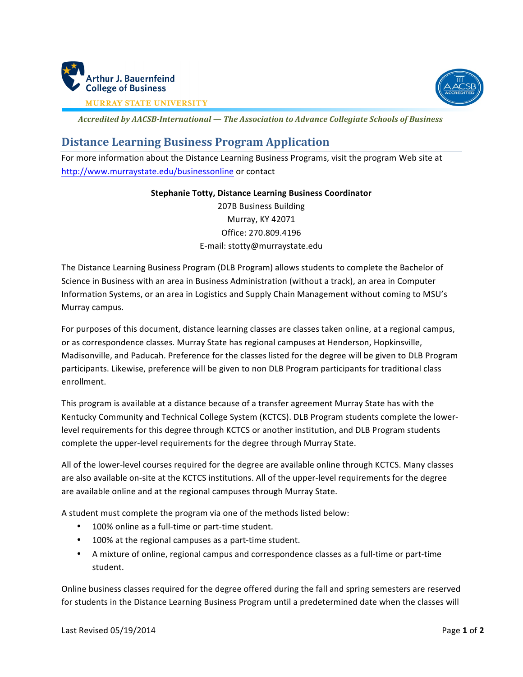



**MURRAY STATE UNIVERSITY** 

*Accredited by AACSB-International — The Association to Advance Collegiate Schools of Business*

## **Distance Learning Business Program Application**

For more information about the Distance Learning Business Programs, visit the program Web site at http://www.murraystate.edu/businessonline or contact

## **Stephanie Totty, Distance Learning Business Coordinator**

207B Business Building Murray, KY 42071 Office: 270.809.4196 E-mail: stotty@murraystate.edu

The Distance Learning Business Program (DLB Program) allows students to complete the Bachelor of Science in Business with an area in Business Administration (without a track), an area in Computer Information Systems, or an area in Logistics and Supply Chain Management without coming to MSU's Murray campus. 

For purposes of this document, distance learning classes are classes taken online, at a regional campus, or as correspondence classes. Murray State has regional campuses at Henderson, Hopkinsville, Madisonville, and Paducah. Preference for the classes listed for the degree will be given to DLB Program participants. Likewise, preference will be given to non DLB Program participants for traditional class enrollment.

This program is available at a distance because of a transfer agreement Murray State has with the Kentucky Community and Technical College System (KCTCS). DLB Program students complete the lowerlevel requirements for this degree through KCTCS or another institution, and DLB Program students complete the upper-level requirements for the degree through Murray State.

All of the lower-level courses required for the degree are available online through KCTCS. Many classes are also available on-site at the KCTCS institutions. All of the upper-level requirements for the degree are available online and at the regional campuses through Murray State.

A student must complete the program via one of the methods listed below:

- 100% online as a full-time or part-time student.
- 100% at the regional campuses as a part-time student.
- A mixture of online, regional campus and correspondence classes as a full-time or part-time student.

Online business classes required for the degree offered during the fall and spring semesters are reserved for students in the Distance Learning Business Program until a predetermined date when the classes will